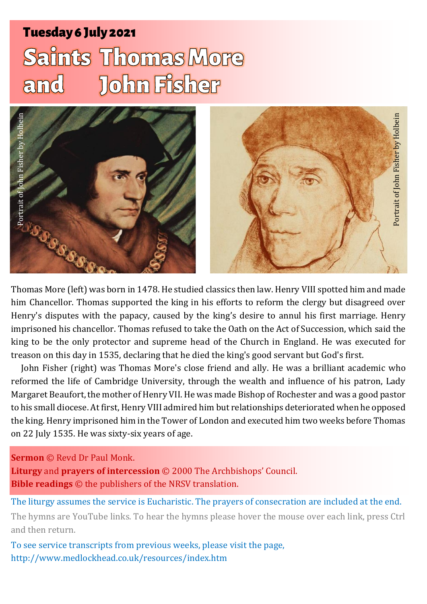# **Tuesday 6 July 2021** Saints Thomas More **John Fisher** and



Thomas More (left) was born in 1478. He studied classics then law. Henry VIII spotted him and made him Chancellor. Thomas supported the king in his efforts to reform the clergy but disagreed over Henry's disputes with the papacy, caused by the king's desire to annul his first marriage. Henry imprisoned his chancellor. Thomas refused to take the Oath on the Act of Succession, which said the king to be the only protector and supreme head of the Church in England. He was executed for treason on this day in 1535, declaring that he died the king's good servant but God's first.

John Fisher (right) was Thomas More's close friend and ally. He was a brilliant academic who reformed the life of Cambridge University, through the wealth and influence of his patron, Lady Margaret Beaufort, the mother of Henry VII. He was made Bishop of Rochester and was a good pastor to his small diocese. At first, Henry VIII admired him but relationships deteriorated when he opposed the king. Henry imprisoned him in the Tower of London and executed him two weeks before Thomas on 22 July 1535. He was sixty-six years of age.

#### **Sermon** © Revd Dr Paul Monk.

**Liturgy** and **prayers of intercession** © 2000 The Archbishops' Council. **Bible readings** © the publishers of the NRSV translation.

The liturgy assumes the service is Eucharistic. The prayers of consecration are included at the end. The hymns are YouTube links. To hear the hymns please hover the mouse over each link, press Ctrl and then return.

To see service transcripts from previous weeks, please visit the page,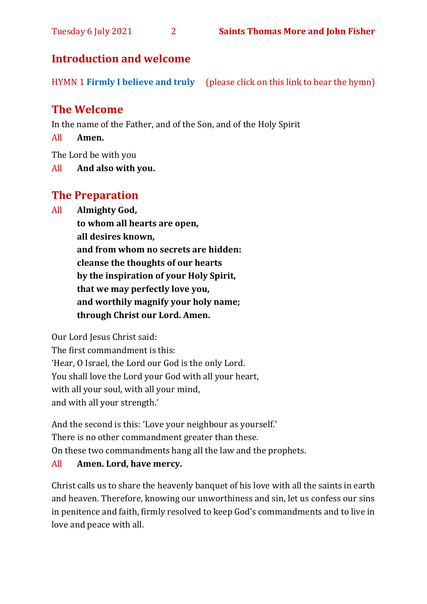# **Introduction and welcome**

HYMN 1 **[Firmly I believe and truly](https://www.youtube.com/watch?v=F0K3STHs6yo)** (please click on this link to hear the hymn)

# **The Welcome**

In the name of the Father, and of the Son, and of the Holy Spirit

All **Amen.**

The Lord be with you

All **And also with you.**

# **The Preparation**

All **Almighty God,**

**to whom all hearts are open, all desires known, and from whom no secrets are hidden: cleanse the thoughts of our hearts by the inspiration of your Holy Spirit, that we may perfectly love you, and worthily magnify your holy name; through Christ our Lord. Amen.**

Our Lord Jesus Christ said:

The first commandment is this: 'Hear, O Israel, the Lord our God is the only Lord. You shall love the Lord your God with all your heart, with all your soul, with all your mind, and with all your strength.'

And the second is this: 'Love your neighbour as yourself.' There is no other commandment greater than these. On these two commandments hang all the law and the prophets.

#### All **Amen. Lord, have mercy.**

Christ calls us to share the heavenly banquet of his love with all the saints in earth and heaven. Therefore, knowing our unworthiness and sin, let us confess our sins in penitence and faith, firmly resolved to keep God's commandments and to live in love and peace with all.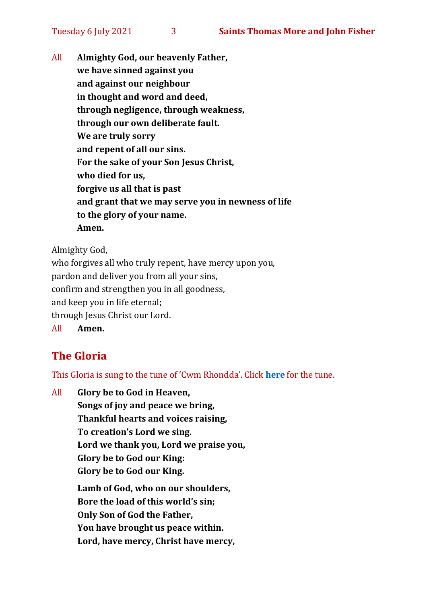All **Almighty God, our heavenly Father, we have sinned against you and against our neighbour in thought and word and deed, through negligence, through weakness, through our own deliberate fault. We are truly sorry and repent of all our sins. For the sake of your Son Jesus Christ, who died for us, forgive us all that is past and grant that we may serve you in newness of life to the glory of your name. Amen.**

Almighty God,

who forgives all who truly repent, have mercy upon you, pardon and deliver you from all your sins, confirm and strengthen you in all goodness, and keep you in life eternal; through Jesus Christ our Lord. All **Amen.**

# **The Gloria**

This Gloria is sung to the tune of 'Cwm Rhondda'. Click **[here](https://www.youtube.com/watch?v=l71MLQ22dIk)** for the tune.

All **Glory be to God in Heaven, Songs of joy and peace we bring, Thankful hearts and voices raising, To creation's Lord we sing. Lord we thank you, Lord we praise you, Glory be to God our King: Glory be to God our King. Lamb of God, who on our shoulders, Bore the load of this world's sin; Only Son of God the Father, You have brought us peace within.**

**Lord, have mercy, Christ have mercy,**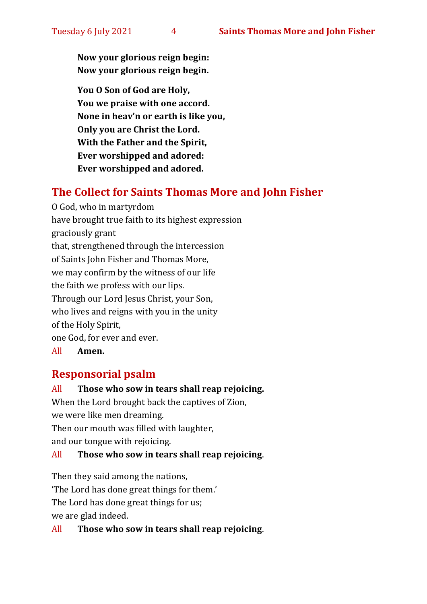**Now your glorious reign begin: Now your glorious reign begin.**

**You O Son of God are Holy, You we praise with one accord. None in heav'n or earth is like you, Only you are Christ the Lord. With the Father and the Spirit, Ever worshipped and adored: Ever worshipped and adored.**

# **The Collect for Saints Thomas More and John Fisher**

O God, who in martyrdom have brought true faith to its highest expression graciously grant that, strengthened through the intercession of Saints John Fisher and Thomas More, we may confirm by the witness of our life the faith we profess with our lips. Through our Lord Jesus Christ, your Son, who lives and reigns with you in the unity of the Holy Spirit, one God, for ever and ever. All **Amen.**

### **Responsorial psalm**

#### All **Those who sow in tears shall reap rejoicing.**

When the Lord brought back the captives of Zion, we were like men dreaming. Then our mouth was filled with laughter, and our tongue with rejoicing.

#### All **Those who sow in tears shall reap rejoicing**.

Then they said among the nations, 'The Lord has done great things for them.' The Lord has done great things for us; we are glad indeed.

All **Those who sow in tears shall reap rejoicing**.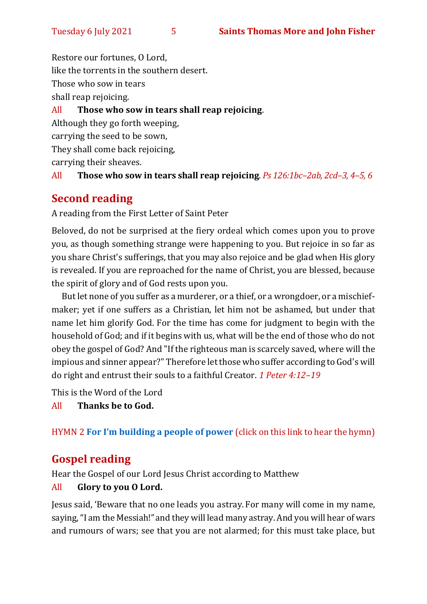Restore our fortunes, O Lord, like the torrents in the southern desert. Those who sow in tears shall reap rejoicing.

#### All **Those who sow in tears shall reap rejoicing**.

Although they go forth weeping, carrying the seed to be sown, They shall come back rejoicing, carrying their sheaves.

All **Those who sow in tears shall reap rejoicing**. *Ps 126:1bc–2ab, 2cd–3, 4–5, 6*

# **Second reading**

A reading from the First Letter of Saint Peter

Beloved, do not be surprised at the fiery ordeal which comes upon you to prove you, as though something strange were happening to you. But rejoice in so far as you share Christ's sufferings, that you may also rejoice and be glad when His glory is revealed. If you are reproached for the name of Christ, you are blessed, because the spirit of glory and of God rests upon you.

But let none of you suffer as a murderer, or a thief, or a wrongdoer, or a mischiefmaker; yet if one suffers as a Christian, let him not be ashamed, but under that name let him glorify God. For the time has come for judgment to begin with the household of God; and if it begins with us, what will be the end of those who do not obey the gospel of God? And "If the righteous man is scarcely saved, where will the impious and sinner appear?" Therefore let those who suffer according to God's will do right and entrust their souls to a faithful Creator. *1 Peter 4:12–19*

This is the Word of the Lord

All **Thanks be to God.**

HYMN 2 **[For I'm building a people of power](https://www.youtube.com/watch?v=fAVdz4a7s6s)** (click on this link to hear the hymn)

# **Gospel reading**

Hear the Gospel of our Lord Jesus Christ according to Matthew

### All **Glory to you O Lord.**

Jesus said, 'Beware that no one leads you astray. For many will come in my name, saying, "I am the Messiah!" and they will lead many astray. And you will hear of wars and rumours of wars; see that you are not alarmed; for this must take place, but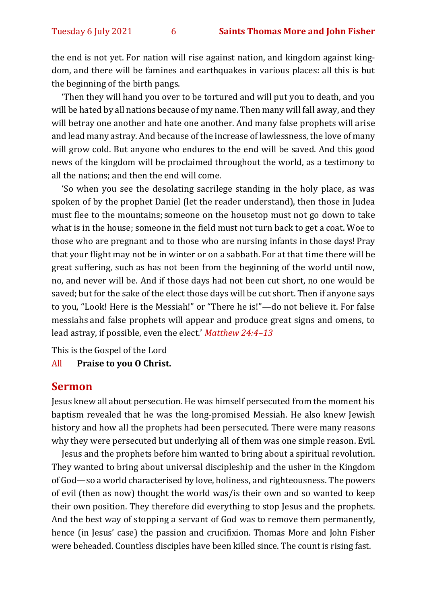the end is not yet. For nation will rise against nation, and kingdom against kingdom, and there will be famines and earthquakes in various places: all this is but the beginning of the birth pangs.

'Then they will hand you over to be tortured and will put you to death, and you will be hated by all nations because of my name. Then many will fall away, and they will betray one another and hate one another. And many false prophets will arise and lead many astray. And because of the increase of lawlessness, the love of many will grow cold. But anyone who endures to the end will be saved. And this good news of the kingdom will be proclaimed throughout the world, as a testimony to all the nations; and then the end will come.

'So when you see the desolating sacrilege standing in the holy place, as was spoken of by the prophet Daniel (let the reader understand), then those in Judea must flee to the mountains; someone on the housetop must not go down to take what is in the house; someone in the field must not turn back to get a coat. Woe to those who are pregnant and to those who are nursing infants in those days! Pray that your flight may not be in winter or on a sabbath. For at that time there will be great suffering, such as has not been from the beginning of the world until now, no, and never will be. And if those days had not been cut short, no one would be saved; but for the sake of the elect those days will be cut short. Then if anyone says to you, "Look! Here is the Messiah!" or "There he is!"—do not believe it. For false messiahs and false prophets will appear and produce great signs and omens, to lead astray, if possible, even the elect.' *Matthew 24:4–13*

This is the Gospel of the Lord

All **Praise to you O Christ.** 

#### **Sermon**

Jesus knew all about persecution. He was himself persecuted from the moment his baptism revealed that he was the long-promised Messiah. He also knew Jewish history and how all the prophets had been persecuted. There were many reasons why they were persecuted but underlying all of them was one simple reason. Evil.

Jesus and the prophets before him wanted to bring about a spiritual revolution. They wanted to bring about universal discipleship and the usher in the Kingdom of God—so a world characterised by love, holiness, and righteousness. The powers of evil (then as now) thought the world was/is their own and so wanted to keep their own position. They therefore did everything to stop Jesus and the prophets. And the best way of stopping a servant of God was to remove them permanently, hence (in Jesus' case) the passion and crucifixion. Thomas More and John Fisher were beheaded. Countless disciples have been killed since. The count is rising fast.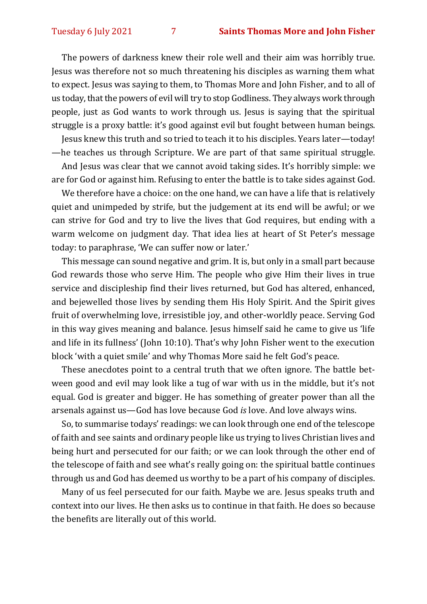The powers of darkness knew their role well and their aim was horribly true. Jesus was therefore not so much threatening his disciples as warning them what to expect. Jesus was saying to them, to Thomas More and John Fisher, and to all of us today, that the powers of evil will try to stop Godliness. They always work through people, just as God wants to work through us. Jesus is saying that the spiritual struggle is a proxy battle: it's good against evil but fought between human beings.

Jesus knew this truth and so tried to teach it to his disciples. Years later—today! —he teaches us through Scripture. We are part of that same spiritual struggle.

And Jesus was clear that we cannot avoid taking sides. It's horribly simple: we are for God or against him. Refusing to enter the battle is to take sides against God.

We therefore have a choice: on the one hand, we can have a life that is relatively quiet and unimpeded by strife, but the judgement at its end will be awful; or we can strive for God and try to live the lives that God requires, but ending with a warm welcome on judgment day. That idea lies at heart of St Peter's message today: to paraphrase, 'We can suffer now or later.'

This message can sound negative and grim. It is, but only in a small part because God rewards those who serve Him. The people who give Him their lives in true service and discipleship find their lives returned, but God has altered, enhanced, and bejewelled those lives by sending them His Holy Spirit. And the Spirit gives fruit of overwhelming love, irresistible joy, and other-worldly peace. Serving God in this way gives meaning and balance. Jesus himself said he came to give us 'life and life in its fullness' (John 10:10). That's why John Fisher went to the execution block 'with a quiet smile' and why Thomas More said he felt God's peace.

These anecdotes point to a central truth that we often ignore. The battle between good and evil may look like a tug of war with us in the middle, but it's not equal. God is greater and bigger. He has something of greater power than all the arsenals against us—God has love because God *is* love. And love always wins.

So, to summarise todays' readings: we can look through one end of the telescope of faith and see saints and ordinary people like us trying to lives Christian lives and being hurt and persecuted for our faith; or we can look through the other end of the telescope of faith and see what's really going on: the spiritual battle continues through us and God has deemed us worthy to be a part of his company of disciples.

Many of us feel persecuted for our faith. Maybe we are. Jesus speaks truth and context into our lives. He then asks us to continue in that faith. He does so because the benefits are literally out of this world.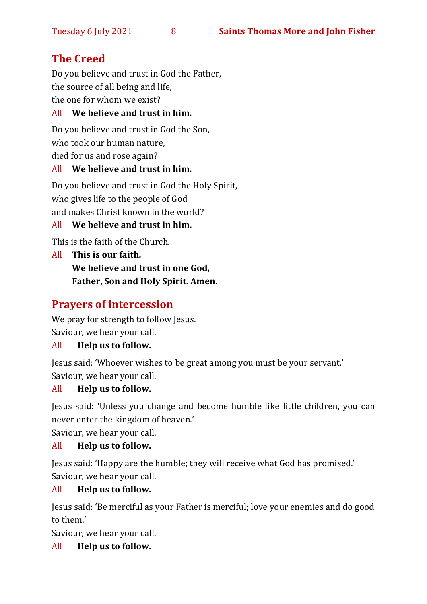# **The Creed**

Do you believe and trust in God the Father, the source of all being and life, the one for whom we exist?

# All **We believe and trust in him.**

Do you believe and trust in God the Son, who took our human nature, died for us and rose again?

# All **We believe and trust in him.**

Do you believe and trust in God the Holy Spirit, who gives life to the people of God and makes Christ known in the world?

### All **We believe and trust in him.**

This is the faith of the Church.

All **This is our faith. We believe and trust in one God, Father, Son and Holy Spirit. Amen.**

# **Prayers of intercession**

We pray for strength to follow Jesus. Saviour, we hear your call.

### All **Help us to follow.**

Jesus said: 'Whoever wishes to be great among you must be your servant.' Saviour, we hear your call.

### All **Help us to follow.**

Jesus said: 'Unless you change and become humble like little children, you can never enter the kingdom of heaven.'

Saviour, we hear your call.

# All **Help us to follow.**

Jesus said: 'Happy are the humble; they will receive what God has promised.' Saviour, we hear your call.

# All **Help us to follow.**

Jesus said: 'Be merciful as your Father is merciful; love your enemies and do good to them.'

Saviour, we hear your call.

# All **Help us to follow.**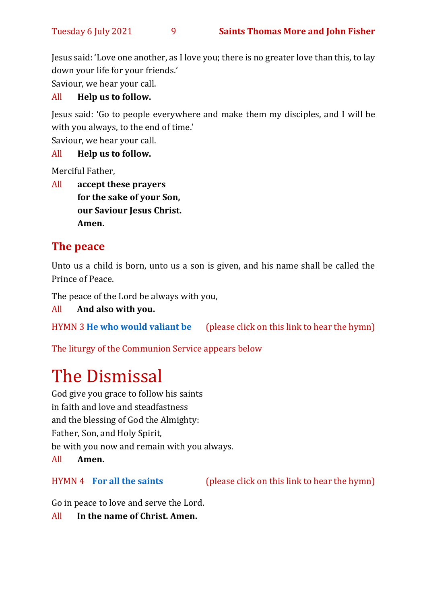Jesus said: 'Love one another, as I love you; there is no greater love than this, to lay down your life for your friends.'

Saviour, we hear your call.

#### All **Help us to follow.**

Jesus said: 'Go to people everywhere and make them my disciples, and I will be with you always, to the end of time.'

Saviour, we hear your call.

#### All **Help us to follow.**

Merciful Father,

All **accept these prayers for the sake of your Son, our Saviour Jesus Christ. Amen.**

# **The peace**

Unto us a child is born, unto us a son is given, and his name shall be called the Prince of Peace.

The peace of the Lord be always with you,

All **And also with you.**

HYMN 3 **[He who would valiant be](https://www.youtube.com/watch?v=5yHJMPw8RHU)** (please click on this link to hear the hymn)

The liturgy of the Communion Service appears below

# The Dismissal

God give you grace to follow his saints in faith and love and steadfastness and the blessing of God the Almighty: Father, Son, and Holy Spirit, be with you now and remain with you always. All **Amen.**

HYMN 4 **[For all the saints](https://www.youtube.com/watch?v=WbPshOGxpew)** (please click on this link to hear the hymn)

Go in peace to love and serve the Lord.

All **In the name of Christ. Amen.**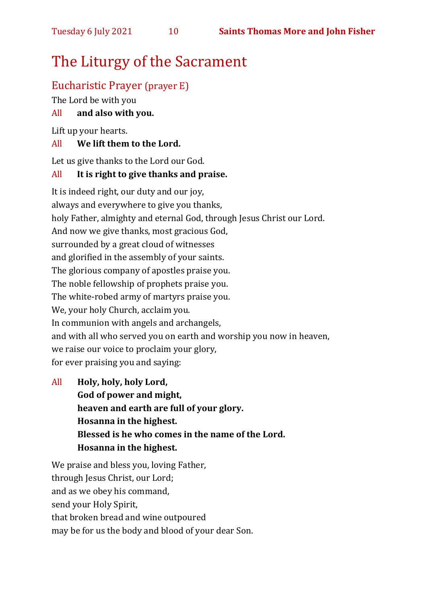# The Liturgy of the Sacrament

# Eucharistic Prayer (prayer E)

The Lord be with you

#### All **and also with you.**

Lift up your hearts.

#### All **We lift them to the Lord.**

Let us give thanks to the Lord our God.

#### All **It is right to give thanks and praise.**

It is indeed right, our duty and our joy, always and everywhere to give you thanks, holy Father, almighty and eternal God, through Jesus Christ our Lord. And now we give thanks, most gracious God, surrounded by a great cloud of witnesses and glorified in the assembly of your saints. The glorious company of apostles praise you. The noble fellowship of prophets praise you. The white-robed army of martyrs praise you. We, your holy Church, acclaim you. In communion with angels and archangels, and with all who served you on earth and worship you now in heaven, we raise our voice to proclaim your glory, for ever praising you and saying:

All **Holy, holy, holy Lord, God of power and might, heaven and earth are full of your glory. Hosanna in the highest. Blessed is he who comes in the name of the Lord. Hosanna in the highest.**

We praise and bless you, loving Father, through Jesus Christ, our Lord; and as we obey his command, send your Holy Spirit, that broken bread and wine outpoured may be for us the body and blood of your dear Son.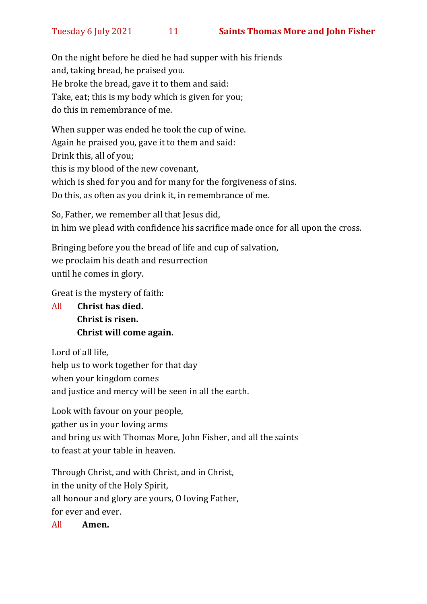On the night before he died he had supper with his friends and, taking bread, he praised you. He broke the bread, gave it to them and said: Take, eat; this is my body which is given for you; do this in remembrance of me.

When supper was ended he took the cup of wine. Again he praised you, gave it to them and said: Drink this, all of you; this is my blood of the new covenant, which is shed for you and for many for the forgiveness of sins. Do this, as often as you drink it, in remembrance of me.

So, Father, we remember all that Jesus did, in him we plead with confidence his sacrifice made once for all upon the cross.

Bringing before you the bread of life and cup of salvation, we proclaim his death and resurrection until he comes in glory.

Great is the mystery of faith:

All **Christ has died. Christ is risen. Christ will come again.**

Lord of all life, help us to work together for that day when your kingdom comes and justice and mercy will be seen in all the earth.

Look with favour on your people, gather us in your loving arms and bring us with Thomas More, John Fisher, and all the saints to feast at your table in heaven.

Through Christ, and with Christ, and in Christ, in the unity of the Holy Spirit, all honour and glory are yours, O loving Father, for ever and ever.

All **Amen.**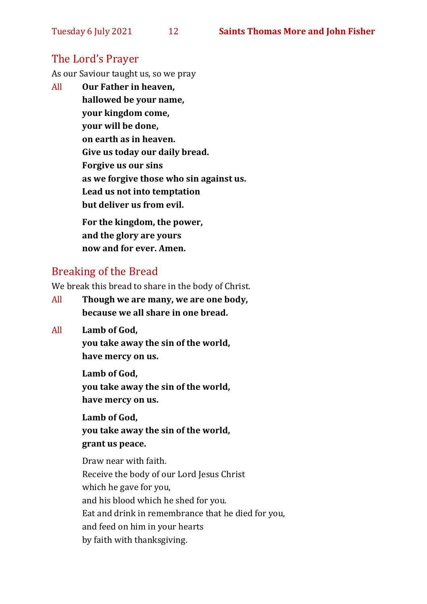# The Lord's Prayer

As our Saviour taught us, so we pray

All **Our Father in heaven, hallowed be your name, your kingdom come, your will be done, on earth as in heaven. Give us today our daily bread. Forgive us our sins as we forgive those who sin against us. Lead us not into temptation but deliver us from evil. For the kingdom, the power,** 

**and the glory are yours now and for ever. Amen.**

# Breaking of the Bread

We break this bread to share in the body of Christ.

- All **Though we are many, we are one body, because we all share in one bread.**
- All **Lamb of God,**

**you take away the sin of the world, have mercy on us.**

**Lamb of God, you take away the sin of the world, have mercy on us.**

**Lamb of God, you take away the sin of the world, grant us peace.**

Draw near with faith. Receive the body of our Lord Jesus Christ which he gave for you, and his blood which he shed for you. Eat and drink in remembrance that he died for you, and feed on him in your hearts by faith with thanksgiving.